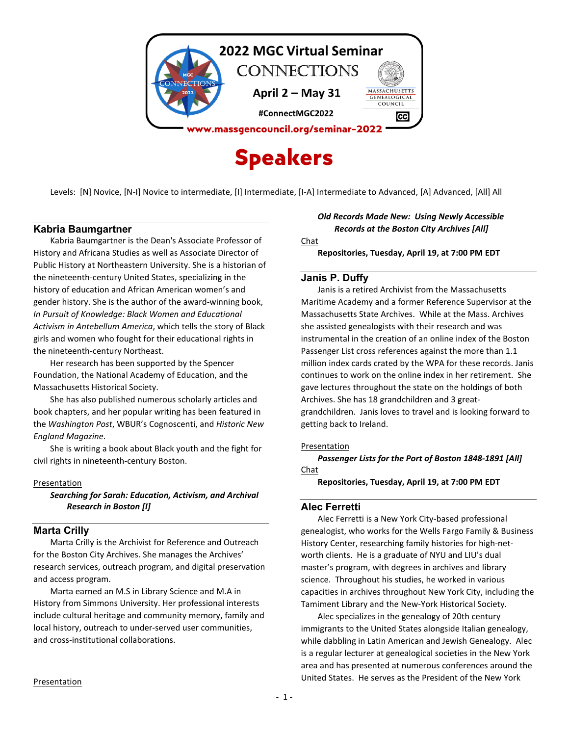

Levels: [N] Novice, [N-I] Novice to intermediate, [I] Intermediate, [I-A] Intermediate to Advanced, [A] Advanced, [All] All

# **Kabria Baumgartner**

Kabria Baumgartner is the Dean's Associate Professor of History and Africana Studies as well as Associate Director of Public History at Northeastern University. She is a historian of the nineteenth-century United States, specializing in the history of education and African American women's and gender history. She is the author of the award-winning book, *In Pursuit of Knowledge: Black Women and Educational Activism in Antebellum America*, which tells the story of Black girls and women who fought for their educational rights in the nineteenth-century Northeast.

Her research has been supported by the Spencer Foundation, the National Academy of Education, and the Massachusetts Historical Society.

She has also published numerous scholarly articles and book chapters, and her popular writing has been featured in the *Washington Post*, WBUR's Cognoscenti, and *Historic New England Magazine*.

She is writing a book about Black youth and the fight for civil rights in nineteenth-century Boston.

### Presentation

*Searching for Sarah: Education, Activism, and Archival Research in Boston [I]*

## **Marta Crilly**

Marta Crilly is the Archivist for Reference and Outreach for the Boston City Archives. She manages the Archives' research services, outreach program, and digital preservation and access program.

Marta earned an M.S in Library Science and M.A in History from Simmons University. Her professional interests include cultural heritage and community memory, family and local history, outreach to under-served user communities, and cross-institutional collaborations.

# *Old Records Made New: Using Newly Accessible Records at the Boston City Archives [All]*

Chat

**Repositories, Tuesday, April 19, at 7:00 PM EDT**

## **Janis P. Duffy**

Janis is a retired Archivist from the Massachusetts Maritime Academy and a former Reference Supervisor at the Massachusetts State Archives. While at the Mass. Archives she assisted genealogists with their research and was instrumental in the creation of an online index of the Boston Passenger List cross references against the more than 1.1 million index cards crated by the WPA for these records. Janis continues to work on the online index in her retirement. She gave lectures throughout the state on the holdings of both Archives. She has 18 grandchildren and 3 greatgrandchildren. Janis loves to travel and is looking forward to getting back to Ireland.

### Presentation

*Passenger Lists for the Port of Boston 1848-1891 [All]* Chat

**Repositories, Tuesday, April 19, at 7:00 PM EDT**

### **Alec Ferretti**

Alec Ferretti is a New York City-based professional genealogist, who works for the Wells Fargo Family & Business History Center, researching family histories for high-networth clients. He is a graduate of NYU and LIU's dual master's program, with degrees in archives and library science. Throughout his studies, he worked in various capacities in archives throughout New York City, including the Tamiment Library and the New-York Historical Society.

Alec specializes in the genealogy of 20th century immigrants to the United States alongside Italian genealogy, while dabbling in Latin American and Jewish Genealogy. Alec is a regular lecturer at genealogical societies in the New York area and has presented at numerous conferences around the United States. He serves as the President of the New York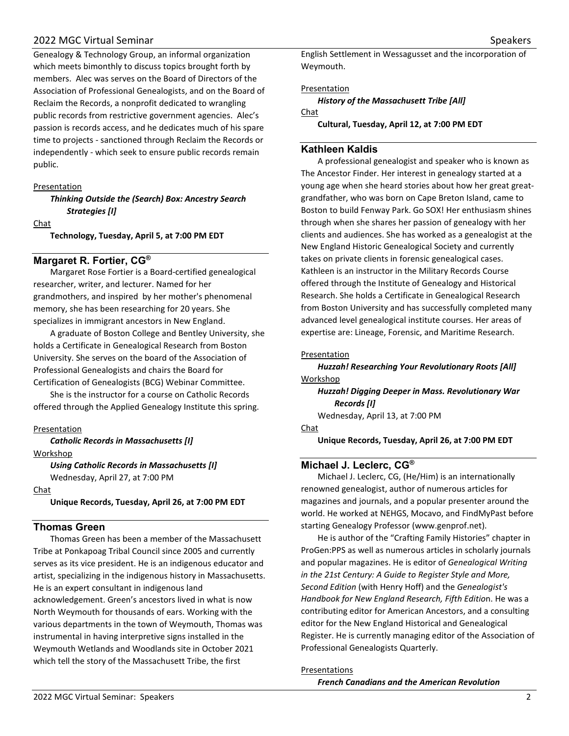# 2022 MGC Virtual Seminar National Seminar Speakers Speakers Speakers Speakers Speakers Speakers Speakers Speakers

Genealogy & Technology Group, an informal organization which meets bimonthly to discuss topics brought forth by members. Alec was serves on the Board of Directors of the Association of Professional Genealogists, and on the Board of Reclaim the Records, a nonprofit dedicated to wrangling public records from restrictive government agencies. Alec's passion is records access, and he dedicates much of his spare time to projects - sanctioned through Reclaim the Records or independently - which seek to ensure public records remain public.

### Presentation

*Thinking Outside the (Search) Box: Ancestry Search Strategies [I]*

### Chat

**Technology, Tuesday, April 5, at 7:00 PM EDT**

# **Margaret R. Fortier, CG®**

Margaret Rose Fortier is a Board-certified genealogical researcher, writer, and lecturer. Named for her grandmothers, and inspired by her mother's phenomenal memory, she has been researching for 20 years. She specializes in immigrant ancestors in New England.

A graduate of Boston College and Bentley University, she holds a Certificate in Genealogical Research from Boston University. She serves on the board of the Association of Professional Genealogists and chairs the Board for Certification of Genealogists (BCG) Webinar Committee.

She is the instructor for a course on Catholic Records offered through the Applied Genealogy Institute this spring.

Presentation

*Catholic Records in Massachusetts [I]* Workshop

> *Using Catholic Records in Massachusetts [I]* Wednesday, April 27, at 7:00 PM

Chat

**Unique Records, Tuesday, April 26, at 7:00 PM EDT**

# **Thomas Green**

Thomas Green has been a member of the Massachusett Tribe at Ponkapoag Tribal Council since 2005 and currently serves as its vice president. He is an indigenous educator and artist, specializing in the indigenous history in Massachusetts. He is an expert consultant in indigenous land acknowledgement. Green's ancestors lived in what is now North Weymouth for thousands of ears. Working with the various departments in the town of Weymouth, Thomas was instrumental in having interpretive signs installed in the Weymouth Wetlands and Woodlands site in October 2021 which tell the story of the Massachusett Tribe, the first

English Settlement in Wessagusset and the incorporation of Weymouth.

Presentation

*History of the Massachusett Tribe [All]* Chat

**Cultural, Tuesday, April 12, at 7:00 PM EDT**

### **Kathleen Kaldis**

A professional genealogist and speaker who is known as The Ancestor Finder. Her interest in genealogy started at a young age when she heard stories about how her great greatgrandfather, who was born on Cape Breton Island, came to Boston to build Fenway Park. Go SOX! Her enthusiasm shines through when she shares her passion of genealogy with her clients and audiences. She has worked as a genealogist at the New England Historic Genealogical Society and currently takes on private clients in forensic genealogical cases. Kathleen is an instructor in the Military Records Course offered through the Institute of Genealogy and Historical Research. She holds a Certificate in Genealogical Research from Boston University and has successfully completed many advanced level genealogical institute courses. Her areas of expertise are: Lineage, Forensic, and Maritime Research.

#### Presentation

*Huzzah! Researching Your Revolutionary Roots [All]* Workshop

*Huzzah! Digging Deeper in Mass. Revolutionary War Records [I]* Wednesday, April 13, at 7:00 PM

Chat

**Unique Records, Tuesday, April 26, at 7:00 PM EDT**

# **Michael J. Leclerc, CG®**

Michael J. Leclerc, CG, (He/Him) is an internationally renowned genealogist, author of numerous articles for magazines and journals, and a popular presenter around the world. He worked at NEHGS, Mocavo, and FindMyPast before starting Genealogy Professor (www.genprof.net).

He is author of the "Crafting Family Histories" chapter in ProGen:PPS as well as numerous articles in scholarly journals and popular magazines. He is editor of *Genealogical Writing in the 21st Century: A Guide to Register Style and More, Second Edition* (with Henry Hoff) and the *Genealogist's Handbook for New England Research, Fifth Editio*n. He was a contributing editor for American Ancestors, and a consulting editor for the New England Historical and Genealogical Register. He is currently managing editor of the Association of Professional Genealogists Quarterly.

### Presentations

*French Canadians and the American Revolution*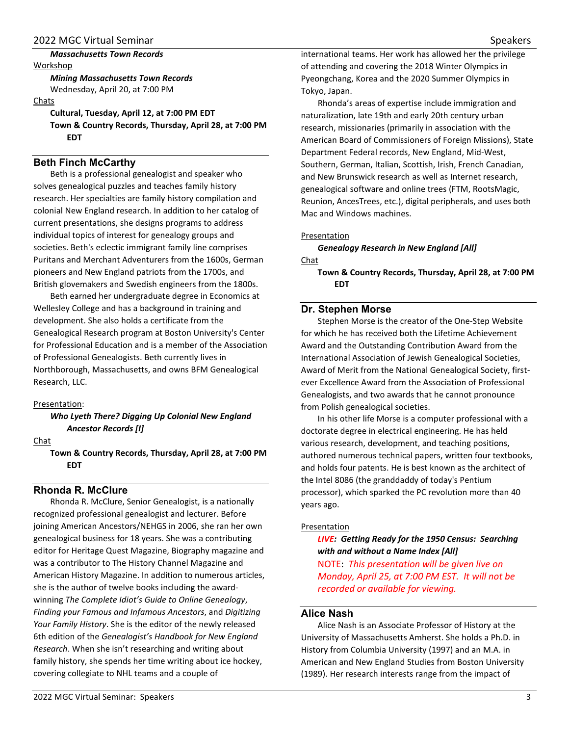## *Massachusetts Town Records*

Workshop *Mining Massachusetts Town Records* Wednesday, April 20, at 7:00 PM

### Chats

**Cultural, Tuesday, April 12, at 7:00 PM EDT Town & Country Records, Thursday, April 28, at 7:00 PM EDT**

# **Beth Finch McCarthy**

Beth is a professional genealogist and speaker who solves genealogical puzzles and teaches family history research. Her specialties are family history compilation and colonial New England research. In addition to her catalog of current presentations, she designs programs to address individual topics of interest for genealogy groups and societies. Beth's eclectic immigrant family line comprises Puritans and Merchant Adventurers from the 1600s, German pioneers and New England patriots from the 1700s, and British glovemakers and Swedish engineers from the 1800s.

Beth earned her undergraduate degree in Economics at Wellesley College and has a background in training and development. She also holds a certificate from the Genealogical Research program at Boston University's Center for Professional Education and is a member of the Association of Professional Genealogists. Beth currently lives in Northborough, Massachusetts, and owns BFM Genealogical Research, LLC.

## Presentation:

*Who Lyeth There? Digging Up Colonial New England Ancestor Records [I]*

Chat

**Town & Country Records, Thursday, April 28, at 7:00 PM EDT** 

# **Rhonda R. McClure**

Rhonda R. McClure, Senior Genealogist, is a nationally recognized professional genealogist and lecturer. Before joining American Ancestors/NEHGS in 2006, she ran her own genealogical business for 18 years. She was a contributing editor for Heritage Quest Magazine, Biography magazine and was a contributor to The History Channel Magazine and American History Magazine. In addition to numerous articles, she is the author of twelve books including the awardwinning *The Complete Idiot's Guide to Online Genealogy*, *Finding your Famous and Infamous Ancestors*, and *Digitizing Your Family History*. She is the editor of the newly released 6th edition of the *Genealogist's Handbook for New England Research*. When she isn't researching and writing about family history, she spends her time writing about ice hockey, covering collegiate to NHL teams and a couple of

international teams. Her work has allowed her the privilege of attending and covering the 2018 Winter Olympics in Pyeongchang, Korea and the 2020 Summer Olympics in Tokyo, Japan.

Rhonda's areas of expertise include immigration and naturalization, late 19th and early 20th century urban research, missionaries (primarily in association with the American Board of Commissioners of Foreign Missions), State Department Federal records, New England, Mid-West, Southern, German, Italian, Scottish, Irish, French Canadian, and New Brunswick research as well as Internet research, genealogical software and online trees (FTM, RootsMagic, Reunion, AncesTrees, etc.), digital peripherals, and uses both Mac and Windows machines.

## Presentation

*Genealogy Research in New England [All]* Chat

**Town & Country Records, Thursday, April 28, at 7:00 PM EDT** 

# **Dr. Stephen Morse**

Stephen Morse is the creator of the One-Step Website for which he has received both the Lifetime Achievement Award and the Outstanding Contribution Award from the International Association of Jewish Genealogical Societies, Award of Merit from the National Genealogical Society, firstever Excellence Award from the Association of Professional Genealogists, and two awards that he cannot pronounce from Polish genealogical societies.

In his other life Morse is a computer professional with a doctorate degree in electrical engineering. He has held various research, development, and teaching positions, authored numerous technical papers, written four textbooks, and holds four patents. He is best known as the architect of the Intel 8086 (the granddaddy of today's Pentium processor), which sparked the PC revolution more than 40 years ago.

# Presentation

# *LIVE: Getting Ready for the 1950 Census: Searching with and without a Name Index [All]*

NOTE: *This presentation will be given live on Monday, April 25, at 7:00 PM EST. It will not be recorded or available for viewing.*

# **Alice Nash**

Alice Nash is an Associate Professor of History at the University of Massachusetts Amherst. She holds a Ph.D. in History from Columbia University (1997) and an M.A. in American and New England Studies from Boston University (1989). Her research interests range from the impact of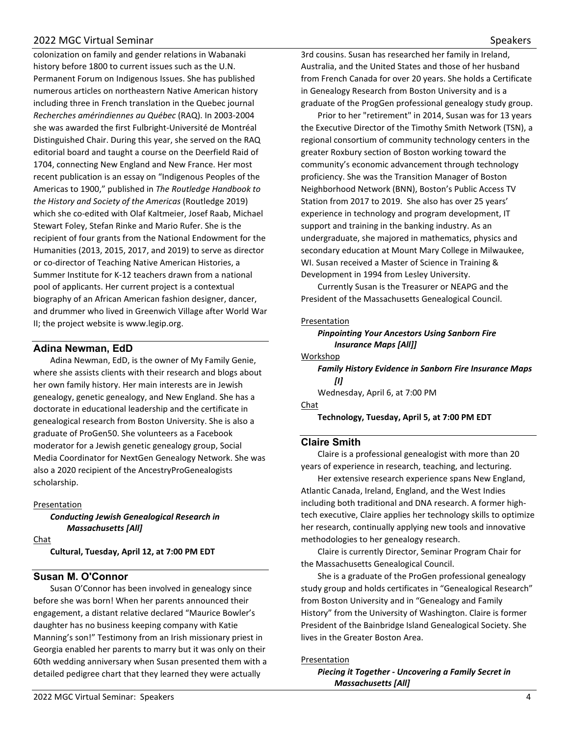# 2022 MGC Virtual Seminar National Seminar Speakers Speakers Speakers Speakers Speakers Speakers Speakers Speakers

colonization on family and gender relations in Wabanaki history before 1800 to current issues such as the U.N. Permanent Forum on Indigenous Issues. She has published numerous articles on northeastern Native American history including three in French translation in the Quebec journal *Recherches amérindiennes au Québec* (RAQ). In 2003-2004 she was awarded the first Fulbright-Université de Montréal Distinguished Chair. During this year, she served on the RAQ editorial board and taught a course on the Deerfield Raid of 1704, connecting New England and New France. Her most recent publication is an essay on "Indigenous Peoples of the Americas to 1900," published in *The Routledge Handbook to the History and Society of the Americas* (Routledge 2019) which she co-edited with Olaf Kaltmeier, Josef Raab, Michael Stewart Foley, Stefan Rinke and Mario Rufer. She is the recipient of four grants from the National Endowment for the Humanities (2013, 2015, 2017, and 2019) to serve as director or co-director of Teaching Native American Histories, a Summer Institute for K-12 teachers drawn from a national pool of applicants. Her current project is a contextual biography of an African American fashion designer, dancer, and drummer who lived in Greenwich Village after World War II; the project website is www.legip.org.

# **Adina Newman, EdD**

Adina Newman, EdD, is the owner of My Family Genie, where she assists clients with their research and blogs about her own family history. Her main interests are in Jewish genealogy, genetic genealogy, and New England. She has a doctorate in educational leadership and the certificate in genealogical research from Boston University. She is also a graduate of ProGen50. She volunteers as a Facebook moderator for a Jewish genetic genealogy group, Social Media Coordinator for NextGen Genealogy Network. She was also a 2020 recipient of the AncestryProGenealogists scholarship.

## Presentation

*Conducting Jewish Genealogical Research in Massachusetts [All]*

Chat

**Cultural, Tuesday, April 12, at 7:00 PM EDT** 

# **Susan M. O'Connor**

Susan O'Connor has been involved in genealogy since before she was born! When her parents announced their engagement, a distant relative declared "Maurice Bowler's daughter has no business keeping company with Katie Manning's son!" Testimony from an Irish missionary priest in Georgia enabled her parents to marry but it was only on their 60th wedding anniversary when Susan presented them with a detailed pedigree chart that they learned they were actually

3rd cousins. Susan has researched her family in Ireland, Australia, and the United States and those of her husband from French Canada for over 20 years. She holds a Certificate in Genealogy Research from Boston University and is a graduate of the ProgGen professional genealogy study group.

Prior to her "retirement" in 2014, Susan was for 13 years the Executive Director of the Timothy Smith Network (TSN), a regional consortium of community technology centers in the greater Roxbury section of Boston working toward the community's economic advancement through technology proficiency. She was the Transition Manager of Boston Neighborhood Network (BNN), Boston's Public Access TV Station from 2017 to 2019. She also has over 25 years' experience in technology and program development, IT support and training in the banking industry. As an undergraduate, she majored in mathematics, physics and secondary education at Mount Mary College in Milwaukee, WI. Susan received a Master of Science in Training & Development in 1994 from Lesley University.

Currently Susan is the Treasurer or NEAPG and the President of the Massachusetts Genealogical Council.

# Presentation

*Pinpointing Your Ancestors Using Sanborn Fire Insurance Maps [All]]*

**Workshop** 

*Family History Evidence in Sanborn Fire Insurance Maps [I]*

Wednesday, April 6, at 7:00 PM

Chat

**Technology, Tuesday, April 5, at 7:00 PM EDT** 

# **Claire Smith**

Claire is a professional genealogist with more than 20 years of experience in research, teaching, and lecturing.

Her extensive research experience spans New England, Atlantic Canada, Ireland, England, and the West Indies including both traditional and DNA research. A former hightech executive, Claire applies her technology skills to optimize her research, continually applying new tools and innovative methodologies to her genealogy research.

Claire is currently Director, Seminar Program Chair for the Massachusetts Genealogical Council.

She is a graduate of the ProGen professional genealogy study group and holds certificates in "Genealogical Research" from Boston University and in "Genealogy and Family History" from the University of Washington. Claire is former President of the Bainbridge Island Genealogical Society. She lives in the Greater Boston Area.

## Presentation

*Piecing it Together - Uncovering a Family Secret in Massachusetts [All]*